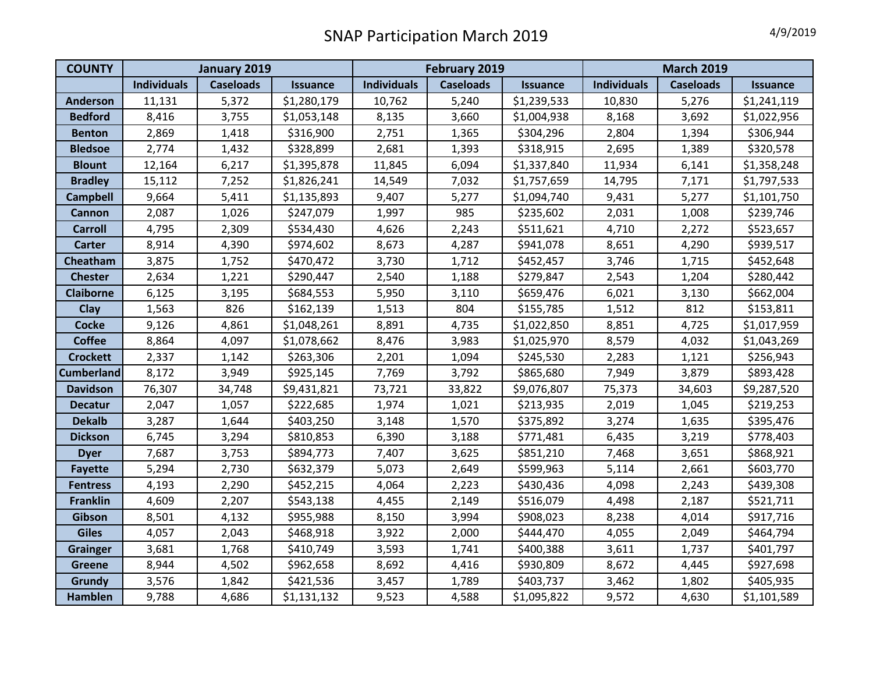| <b>COUNTY</b>     | January 2019       |                  |                 | February 2019      |                  |                 | <b>March 2019</b>  |                  |                 |
|-------------------|--------------------|------------------|-----------------|--------------------|------------------|-----------------|--------------------|------------------|-----------------|
|                   | <b>Individuals</b> | <b>Caseloads</b> | <b>Issuance</b> | <b>Individuals</b> | <b>Caseloads</b> | <b>Issuance</b> | <b>Individuals</b> | <b>Caseloads</b> | <b>Issuance</b> |
| <b>Anderson</b>   | 11,131             | 5,372            | \$1,280,179     | 10,762             | 5,240            | \$1,239,533     | 10,830             | 5,276            | \$1,241,119     |
| <b>Bedford</b>    | 8,416              | 3,755            | \$1,053,148     | 8,135              | 3,660            | \$1,004,938     | 8,168              | 3,692            | \$1,022,956     |
| <b>Benton</b>     | 2,869              | 1,418            | \$316,900       | 2,751              | 1,365            | \$304,296       | 2,804              | 1,394            | \$306,944       |
| <b>Bledsoe</b>    | 2,774              | 1,432            | \$328,899       | 2,681              | 1,393            | \$318,915       | 2,695              | 1,389            | \$320,578       |
| <b>Blount</b>     | 12,164             | 6,217            | \$1,395,878     | 11,845             | 6,094            | \$1,337,840     | 11,934             | 6,141            | \$1,358,248     |
| <b>Bradley</b>    | 15,112             | 7,252            | \$1,826,241     | 14,549             | 7,032            | \$1,757,659     | 14,795             | 7,171            | \$1,797,533     |
| <b>Campbell</b>   | 9,664              | 5,411            | \$1,135,893     | 9,407              | 5,277            | \$1,094,740     | 9,431              | 5,277            | \$1,101,750     |
| Cannon            | 2,087              | 1,026            | \$247,079       | 1,997              | 985              | \$235,602       | 2,031              | 1,008            | \$239,746       |
| <b>Carroll</b>    | 4,795              | 2,309            | \$534,430       | 4,626              | 2,243            | \$511,621       | 4,710              | 2,272            | \$523,657       |
| <b>Carter</b>     | 8,914              | 4,390            | \$974,602       | 8,673              | 4,287            | \$941,078       | 8,651              | 4,290            | \$939,517       |
| Cheatham          | 3,875              | 1,752            | \$470,472       | 3,730              | 1,712            | \$452,457       | 3,746              | 1,715            | \$452,648       |
| <b>Chester</b>    | 2,634              | 1,221            | \$290,447       | 2,540              | 1,188            | \$279,847       | 2,543              | 1,204            | \$280,442       |
| <b>Claiborne</b>  | 6,125              | 3,195            | \$684,553       | 5,950              | 3,110            | \$659,476       | 6,021              | 3,130            | \$662,004       |
| Clay              | 1,563              | 826              | \$162,139       | 1,513              | 804              | \$155,785       | 1,512              | 812              | \$153,811       |
| <b>Cocke</b>      | 9,126              | 4,861            | \$1,048,261     | 8,891              | 4,735            | \$1,022,850     | 8,851              | 4,725            | \$1,017,959     |
| <b>Coffee</b>     | 8,864              | 4,097            | \$1,078,662     | 8,476              | 3,983            | \$1,025,970     | 8,579              | 4,032            | \$1,043,269     |
| <b>Crockett</b>   | 2,337              | 1,142            | \$263,306       | 2,201              | 1,094            | \$245,530       | 2,283              | 1,121            | \$256,943       |
| <b>Cumberland</b> | 8,172              | 3,949            | \$925,145       | 7,769              | 3,792            | \$865,680       | 7,949              | 3,879            | \$893,428       |
| <b>Davidson</b>   | 76,307             | 34,748           | \$9,431,821     | 73,721             | 33,822           | \$9,076,807     | 75,373             | 34,603           | \$9,287,520     |
| <b>Decatur</b>    | 2,047              | 1,057            | \$222,685       | 1,974              | 1,021            | \$213,935       | 2,019              | 1,045            | \$219,253       |
| <b>Dekalb</b>     | 3,287              | 1,644            | \$403,250       | 3,148              | 1,570            | \$375,892       | 3,274              | 1,635            | \$395,476       |
| <b>Dickson</b>    | 6,745              | 3,294            | \$810,853       | 6,390              | 3,188            | \$771,481       | 6,435              | 3,219            | \$778,403       |
| <b>Dyer</b>       | 7,687              | 3,753            | \$894,773       | 7,407              | 3,625            | \$851,210       | 7,468              | 3,651            | \$868,921       |
| <b>Fayette</b>    | 5,294              | 2,730            | \$632,379       | 5,073              | 2,649            | \$599,963       | 5,114              | 2,661            | \$603,770       |
| <b>Fentress</b>   | 4,193              | 2,290            | \$452,215       | 4,064              | 2,223            | \$430,436       | 4,098              | 2,243            | \$439,308       |
| <b>Franklin</b>   | 4,609              | 2,207            | \$543,138       | 4,455              | 2,149            | \$516,079       | 4,498              | 2,187            | \$521,711       |
| Gibson            | 8,501              | 4,132            | \$955,988       | 8,150              | 3,994            | \$908,023       | 8,238              | 4,014            | \$917,716       |
| <b>Giles</b>      | 4,057              | 2,043            | \$468,918       | 3,922              | 2,000            | \$444,470       | 4,055              | 2,049            | \$464,794       |
| <b>Grainger</b>   | 3,681              | 1,768            | \$410,749       | 3,593              | 1,741            | \$400,388       | 3,611              | 1,737            | \$401,797       |
| <b>Greene</b>     | 8,944              | 4,502            | \$962,658       | 8,692              | 4,416            | \$930,809       | 8,672              | 4,445            | \$927,698       |
| Grundy            | 3,576              | 1,842            | \$421,536       | 3,457              | 1,789            | \$403,737       | 3,462              | 1,802            | \$405,935       |
| <b>Hamblen</b>    | 9,788              | 4,686            | \$1,131,132     | 9,523              | 4,588            | \$1,095,822     | 9,572              | 4,630            | \$1,101,589     |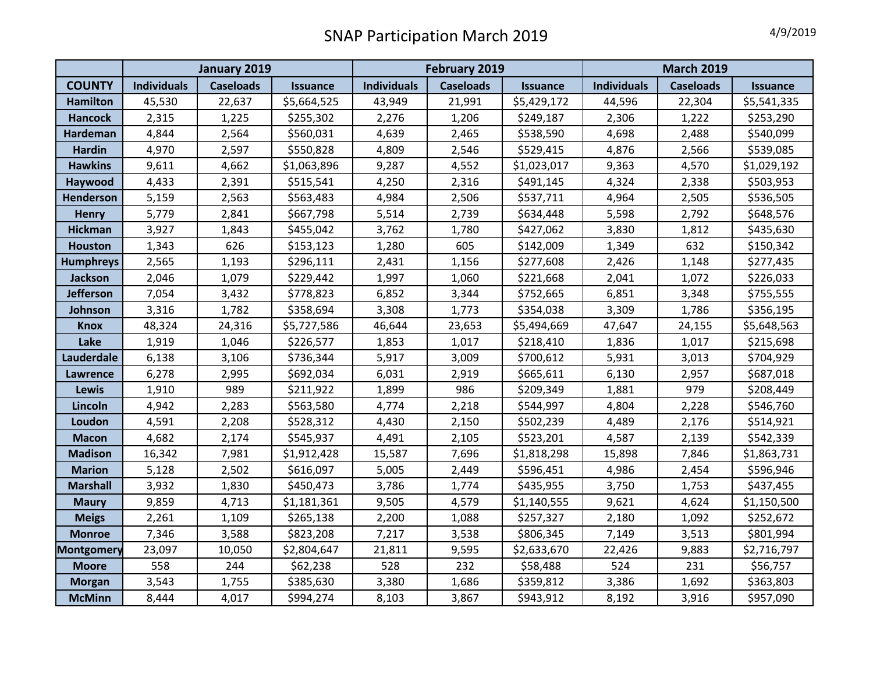|                   | January 2019       |                  |                 | February 2019      |                  |                 | <b>March 2019</b>  |                  |                 |
|-------------------|--------------------|------------------|-----------------|--------------------|------------------|-----------------|--------------------|------------------|-----------------|
| <b>COUNTY</b>     | <b>Individuals</b> | <b>Caseloads</b> | <b>Issuance</b> | <b>Individuals</b> | <b>Caseloads</b> | <b>Issuance</b> | <b>Individuals</b> | <b>Caseloads</b> | <b>Issuance</b> |
| <b>Hamilton</b>   | 45,530             | 22,637           | \$5,664,525     | 43,949             | 21,991           | \$5,429,172     | 44,596             | 22,304           | \$5,541,335     |
| <b>Hancock</b>    | 2,315              | 1,225            | \$255,302       | 2,276              | 1,206            | \$249,187       | 2,306              | 1,222            | \$253,290       |
| <b>Hardeman</b>   | 4,844              | 2,564            | \$560,031       | 4,639              | 2,465            | \$538,590       | 4,698              | 2,488            | \$540,099       |
| <b>Hardin</b>     | 4,970              | 2,597            | \$550,828       | 4,809              | 2,546            | \$529,415       | 4,876              | 2,566            | \$539,085       |
| <b>Hawkins</b>    | 9,611              | 4,662            | \$1,063,896     | 9,287              | 4,552            | \$1,023,017     | 9,363              | 4,570            | \$1,029,192     |
| Haywood           | 4,433              | 2,391            | \$515,541       | 4,250              | 2,316            | \$491,145       | 4,324              | 2,338            | \$503,953       |
| Henderson         | 5,159              | 2,563            | \$563,483       | 4,984              | 2,506            | \$537,711       | 4,964              | 2,505            | \$536,505       |
| <b>Henry</b>      | 5,779              | 2,841            | \$667,798       | 5,514              | 2,739            | \$634,448       | 5,598              | 2,792            | \$648,576       |
| <b>Hickman</b>    | 3,927              | 1,843            | \$455,042       | 3,762              | 1,780            | \$427,062       | 3,830              | 1,812            | \$435,630       |
| <b>Houston</b>    | 1,343              | 626              | \$153,123       | 1,280              | 605              | \$142,009       | 1,349              | 632              | \$150,342       |
| <b>Humphreys</b>  | 2,565              | 1,193            | \$296,111       | 2,431              | 1,156            | \$277,608       | 2,426              | 1,148            | \$277,435       |
| <b>Jackson</b>    | 2,046              | 1,079            | \$229,442       | 1,997              | 1,060            | \$221,668       | 2,041              | 1,072            | \$226,033       |
| <b>Jefferson</b>  | 7,054              | 3,432            | \$778,823       | 6,852              | 3,344            | \$752,665       | 6,851              | 3,348            | \$755,555       |
| Johnson           | 3,316              | 1,782            | \$358,694       | 3,308              | 1,773            | \$354,038       | 3,309              | 1,786            | \$356,195       |
| <b>Knox</b>       | 48,324             | 24,316           | \$5,727,586     | 46,644             | 23,653           | \$5,494,669     | 47,647             | 24,155           | \$5,648,563     |
| Lake              | 1,919              | 1,046            | \$226,577       | 1,853              | 1,017            | \$218,410       | 1,836              | 1,017            | \$215,698       |
| Lauderdale        | 6,138              | 3,106            | \$736,344       | 5,917              | 3,009            | \$700,612       | 5,931              | 3,013            | \$704,929       |
| Lawrence          | 6,278              | 2,995            | \$692,034       | 6,031              | 2,919            | \$665,611       | 6,130              | 2,957            | \$687,018       |
| <b>Lewis</b>      | 1,910              | 989              | \$211,922       | 1,899              | 986              | \$209,349       | 1,881              | 979              | \$208,449       |
| Lincoln           | 4,942              | 2,283            | \$563,580       | 4,774              | 2,218            | \$544,997       | 4,804              | 2,228            | \$546,760       |
| Loudon            | 4,591              | 2,208            | \$528,312       | 4,430              | 2,150            | \$502,239       | 4,489              | 2,176            | \$514,921       |
| <b>Macon</b>      | 4,682              | 2,174            | \$545,937       | 4,491              | 2,105            | \$523,201       | 4,587              | 2,139            | \$542,339       |
| <b>Madison</b>    | 16,342             | 7,981            | \$1,912,428     | 15,587             | 7,696            | \$1,818,298     | 15,898             | 7,846            | \$1,863,731     |
| <b>Marion</b>     | 5,128              | 2,502            | \$616,097       | 5,005              | 2,449            | \$596,451       | 4,986              | 2,454            | \$596,946       |
| <b>Marshall</b>   | 3,932              | 1,830            | \$450,473       | 3,786              | 1,774            | \$435,955       | 3,750              | 1,753            | \$437,455       |
| <b>Maury</b>      | 9,859              | 4,713            | \$1,181,361     | 9,505              | 4,579            | \$1,140,555     | 9,621              | 4,624            | \$1,150,500     |
| <b>Meigs</b>      | 2,261              | 1,109            | \$265,138       | 2,200              | 1,088            | \$257,327       | 2,180              | 1,092            | \$252,672       |
| <b>Monroe</b>     | 7,346              | 3,588            | \$823,208       | 7,217              | 3,538            | \$806,345       | 7,149              | 3,513            | \$801,994       |
| <b>Montgomery</b> | 23,097             | 10,050           | \$2,804,647     | 21,811             | 9,595            | \$2,633,670     | 22,426             | 9,883            | \$2,716,797     |
| <b>Moore</b>      | 558                | 244              | \$62,238        | 528                | 232              | \$58,488        | 524                | 231              | \$56,757        |
| <b>Morgan</b>     | 3,543              | 1,755            | \$385,630       | 3,380              | 1,686            | \$359,812       | 3,386              | 1,692            | \$363,803       |
| <b>McMinn</b>     | 8,444              | 4,017            | \$994,274       | 8,103              | 3,867            | \$943,912       | 8,192              | 3,916            | \$957,090       |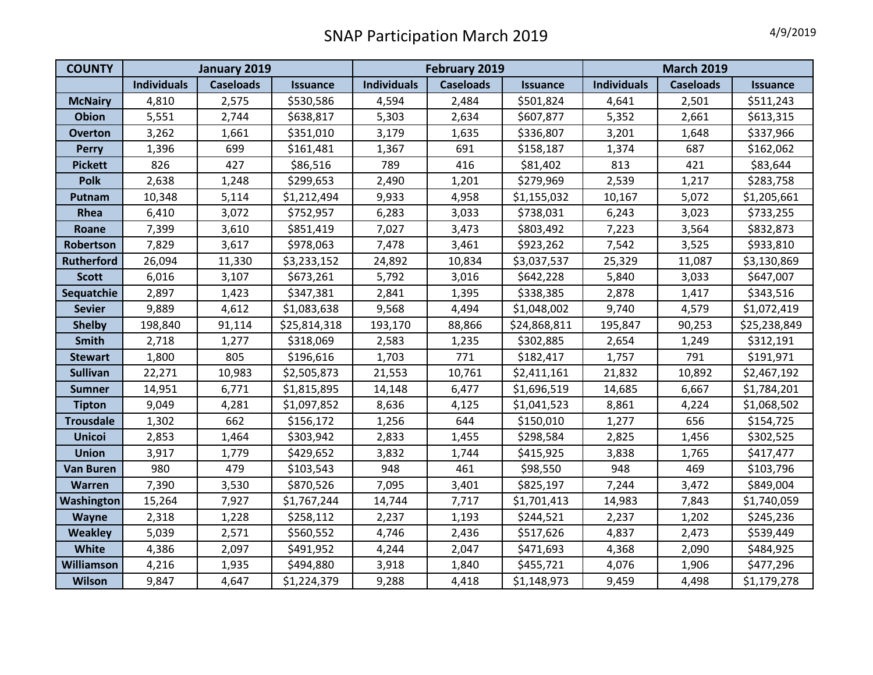| <b>COUNTY</b>     | January 2019       |                  |                 | February 2019      |                  |                 | <b>March 2019</b>  |                  |                 |
|-------------------|--------------------|------------------|-----------------|--------------------|------------------|-----------------|--------------------|------------------|-----------------|
|                   | <b>Individuals</b> | <b>Caseloads</b> | <b>Issuance</b> | <b>Individuals</b> | <b>Caseloads</b> | <b>Issuance</b> | <b>Individuals</b> | <b>Caseloads</b> | <b>Issuance</b> |
| <b>McNairy</b>    | 4,810              | 2,575            | \$530,586       | 4,594              | 2,484            | \$501,824       | 4,641              | 2,501            | \$511,243       |
| <b>Obion</b>      | 5,551              | 2,744            | \$638,817       | 5,303              | 2,634            | \$607,877       | 5,352              | 2,661            | \$613,315       |
| <b>Overton</b>    | 3,262              | 1,661            | \$351,010       | 3,179              | 1,635            | \$336,807       | 3,201              | 1,648            | \$337,966       |
| <b>Perry</b>      | 1,396              | 699              | \$161,481       | 1,367              | 691              | \$158,187       | 1,374              | 687              | \$162,062       |
| <b>Pickett</b>    | 826                | 427              | \$86,516        | 789                | 416              | \$81,402        | 813                | 421              | \$83,644        |
| Polk              | 2,638              | 1,248            | \$299,653       | 2,490              | 1,201            | \$279,969       | 2,539              | 1,217            | \$283,758       |
| Putnam            | 10,348             | 5,114            | \$1,212,494     | 9,933              | 4,958            | \$1,155,032     | 10,167             | 5,072            | \$1,205,661     |
| Rhea              | 6,410              | 3,072            | \$752,957       | 6,283              | 3,033            | \$738,031       | 6,243              | 3,023            | \$733,255       |
| Roane             | 7,399              | 3,610            | \$851,419       | 7,027              | 3,473            | \$803,492       | 7,223              | 3,564            | \$832,873       |
| Robertson         | 7,829              | 3,617            | \$978,063       | 7,478              | 3,461            | \$923,262       | 7,542              | 3,525            | \$933,810       |
| <b>Rutherford</b> | 26,094             | 11,330           | \$3,233,152     | 24,892             | 10,834           | \$3,037,537     | 25,329             | 11,087           | \$3,130,869     |
| <b>Scott</b>      | 6,016              | 3,107            | \$673,261       | 5,792              | 3,016            | \$642,228       | 5,840              | 3,033            | \$647,007       |
| Sequatchie        | 2,897              | 1,423            | \$347,381       | 2,841              | 1,395            | \$338,385       | 2,878              | 1,417            | \$343,516       |
| <b>Sevier</b>     | 9,889              | 4,612            | \$1,083,638     | 9,568              | 4,494            | \$1,048,002     | 9,740              | 4,579            | \$1,072,419     |
| <b>Shelby</b>     | 198,840            | 91,114           | \$25,814,318    | 193,170            | 88,866           | \$24,868,811    | 195,847            | 90,253           | \$25,238,849    |
| Smith             | 2,718              | 1,277            | \$318,069       | 2,583              | 1,235            | \$302,885       | 2,654              | 1,249            | \$312,191       |
| <b>Stewart</b>    | 1,800              | 805              | \$196,616       | 1,703              | 771              | \$182,417       | 1,757              | 791              | \$191,971       |
| <b>Sullivan</b>   | 22,271             | 10,983           | \$2,505,873     | 21,553             | 10,761           | \$2,411,161     | 21,832             | 10,892           | \$2,467,192     |
| <b>Sumner</b>     | 14,951             | 6,771            | \$1,815,895     | 14,148             | 6,477            | \$1,696,519     | 14,685             | 6,667            | \$1,784,201     |
| <b>Tipton</b>     | 9,049              | 4,281            | \$1,097,852     | 8,636              | 4,125            | \$1,041,523     | 8,861              | 4,224            | \$1,068,502     |
| <b>Trousdale</b>  | 1,302              | 662              | \$156,172       | 1,256              | 644              | \$150,010       | 1,277              | 656              | \$154,725       |
| <b>Unicoi</b>     | 2,853              | 1,464            | \$303,942       | 2,833              | 1,455            | \$298,584       | 2,825              | 1,456            | \$302,525       |
| <b>Union</b>      | 3,917              | 1,779            | \$429,652       | 3,832              | 1,744            | \$415,925       | 3,838              | 1,765            | \$417,477       |
| <b>Van Buren</b>  | 980                | 479              | \$103,543       | 948                | 461              | \$98,550        | 948                | 469              | \$103,796       |
| <b>Warren</b>     | 7,390              | 3,530            | \$870,526       | 7,095              | 3,401            | \$825,197       | 7,244              | 3,472            | \$849,004       |
| Washington        | 15,264             | 7,927            | \$1,767,244     | 14,744             | 7,717            | \$1,701,413     | 14,983             | 7,843            | \$1,740,059     |
| <b>Wayne</b>      | 2,318              | 1,228            | \$258,112       | 2,237              | 1,193            | \$244,521       | 2,237              | 1,202            | \$245,236       |
| <b>Weakley</b>    | 5,039              | 2,571            | \$560,552       | 4,746              | 2,436            | \$517,626       | 4,837              | 2,473            | \$539,449       |
| White             | 4,386              | 2,097            | \$491,952       | 4,244              | 2,047            | \$471,693       | 4,368              | 2,090            | \$484,925       |
| Williamson        | 4,216              | 1,935            | \$494,880       | 3,918              | 1,840            | \$455,721       | 4,076              | 1,906            | \$477,296       |
| <b>Wilson</b>     | 9,847              | 4,647            | \$1,224,379     | 9,288              | 4,418            | \$1,148,973     | 9,459              | 4,498            | \$1,179,278     |